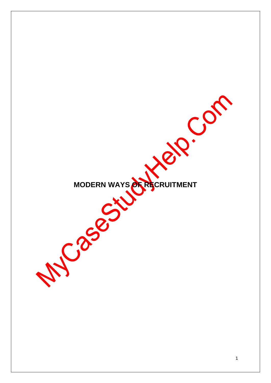MODERN WAYS **ATAGERUITMENT**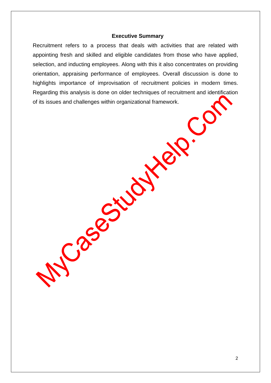#### **Executive Summary**

Recruitment refers to a process that deals with activities that are related with appointing fresh and skilled and eligible candidates from those who have applied, selection, and inducting employees. Along with this it also concentrates on providing orientation, appraising performance of employees. Overall discussion is done to highlights importance of improvisation of recruitment policies in modern times. Regarding this analysis is done on older techniques of recruitment and identification of its issues and challenges within organizational framework.

Case Giudite

 $\overline{C}$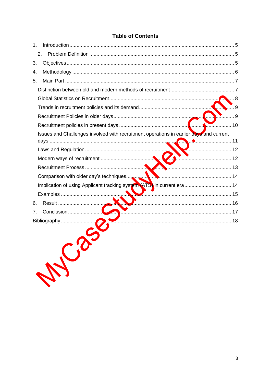# **Table of Contents**

| 1.                                                                                     |                  |
|----------------------------------------------------------------------------------------|------------------|
| 2.                                                                                     |                  |
| 3.                                                                                     |                  |
| 4.                                                                                     |                  |
| 5.                                                                                     |                  |
|                                                                                        |                  |
|                                                                                        |                  |
|                                                                                        | . 9              |
|                                                                                        | . . 9            |
|                                                                                        | $\frac{1}{2}$ 10 |
| Issues and Challenges involved with recruitment operations in earlier days and current |                  |
|                                                                                        |                  |
|                                                                                        |                  |
|                                                                                        |                  |
|                                                                                        |                  |
| Implication of using Applicant tracking system (ATS) in current era 14                 |                  |
|                                                                                        | 15               |
| Result<br>6.                                                                           | <u>16</u>        |
| 7.                                                                                     |                  |
| Bibliography                                                                           |                  |
| MC3                                                                                    |                  |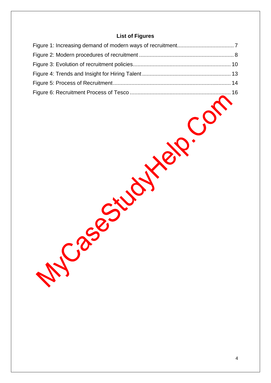# **List of Figures**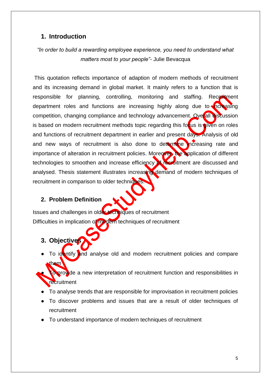# <span id="page-4-0"></span>**1. Introduction**

# *"In order to build a rewarding employee experience, you need to understand what matters most to your people"-* Julie Bevacqua

This quotation reflects importance of adaption of modern methods of recruitment and its increasing demand in global market. It mainly refers to a function that is responsible for planning, controlling, monitoring and staffing. Recruitment department roles and functions are increasing highly along due to  $\sqrt{\alpha}$  asing competition, changing compliance and technology advancement. Overall discussion is based on modern recruitment methods topic regarding this focus is given on roles and functions of recruitment department in earlier and present days. Analysis of old and new ways of recruitment is also done to determine increasing rate and importance of alteration in recruitment policies. Moreover, the application of different technologies to smoothen and increase efficiency of recruitment are discussed and analysed. Thesis statement illustrates increasing demand of modern techniques of recruitment in comparison to older techniques.

## <span id="page-4-1"></span>**2. Problem Definition**

Issues and challenges in older techniques of recruitment Difficulties in implication of modern techniques of recruitment

- <span id="page-4-2"></span>**3. Objectives**
- To identify and analyse old and modern recruitment policies and compare them
- To provide a new interpretation of recruitment function and responsibilities in **recruitment**
- To analyse trends that are responsible for improvisation in recruitment policies
- To discover problems and issues that are a result of older techniques of recruitment
- To understand importance of modern techniques of recruitment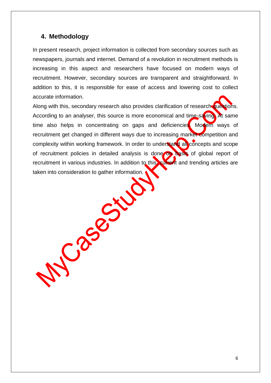### <span id="page-5-0"></span>**4. Methodology**

In present research, project information is collected from secondary sources such as newspapers, journals and internet. Demand of a revolution in recruitment methods is increasing in this aspect and researchers have focused on modern ways of recruitment. However, secondary sources are transparent and straightforward. In addition to this, it is responsible for ease of access and lowering cost to collect accurate information.

Along with this, secondary research also provides clarification of research questions. According to an analyser, this source is more economical and time-saving. At same time also helps in concentrating on gaps and deficiencies. Modern ways of recruitment get changed in different ways due to increasing market competition and complexity within working framework. In order to understand all concepts and scope of recruitment policies in detailed analysis is done on basis of global report of recruitment in various industries. In addition to this, current and trending articles are taken into consideration to gather information.

Casement

6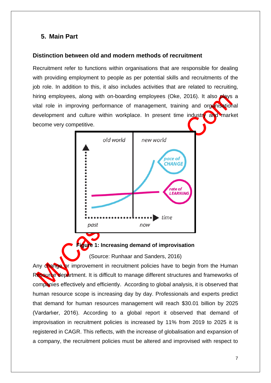# <span id="page-6-0"></span>**5. Main Part**

#### <span id="page-6-1"></span>**Distinction between old and modern methods of recruitment**

Recruitment refer to functions within organisations that are responsible for dealing with providing employment to people as per potential skills and recruitments of the job role. In addition to this, it also includes activities that are related to recruiting, hiring employees, along with on-boarding employees (Oke, 2016). It also **plays** a vital role in improving performance of management, training and organisational development and culture within workplace. In present time industre and market become very competitive.



#### **Figure 1: Increasing demand of improvisation**

(Source: Runhaar and Sanders, 2016)

<span id="page-6-2"></span>Any change or improvement in recruitment policies have to begin from the Human Resource department. It is difficult to manage different structures and frameworks of companies effectively and efficiently. According to global analysis, it is observed that human resource scope is increasing day by day. Professionals and experts predict that demand for human resources management will reach \$30.01 billion by 2025 (Vardarlıer, 2016). According to a global report it observed that demand of improvisation in recruitment policies is increased by 11% from 2019 to 2025 it is registered in CAGR. This reflects, with the increase of globalisation and expansion of a company, the recruitment policies must be altered and improvised with respect to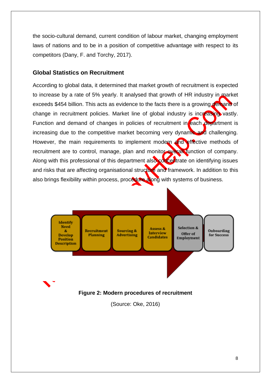the socio-cultural demand, current condition of labour market, changing employment laws of nations and to be in a position of competitive advantage with respect to its competitors (Dany, F. and Torchy, 2017).

#### <span id="page-7-0"></span>**Global Statistics on Recruitment**

According to global data, it determined that market growth of recruitment is expected to increase by a rate of 5% yearly. It analysed that growth of HR industry in market exceeds \$454 billion. This acts as evidence to the facts there is a growing demand of change in recruitment policies. Market line of global industry is increasing vastly. Function and demand of changes in policies of recruitment in each department is increasing due to the competitive market becoming very dynamic and challenging. However, the main requirements to implement modern and effective methods of recruitment are to control, manage, plan and monitor overall function of company. Along with this professional of this department also concentrate on identifying issues and risks that are affecting organisational structure and framework. In addition to this also brings flexibility within process, procedure along with systems of business.



#### <span id="page-7-1"></span>**Figure 2: Modern procedures of recruitment**

(Source: Oke, 2016)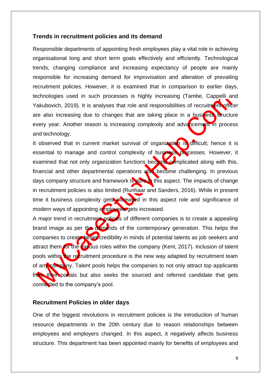#### <span id="page-8-0"></span>**Trends in recruitment policies and its demand**

Responsible departments of appointing fresh employees play a vital role in achieving organisational long and short term goals effectively and efficiently. Technological trends, changing compliance and increasing expectancy of people are mainly responsible for increasing demand for improvisation and alteration of prevailing recruitment policies. However, it is examined that in comparison to earlier days, technologies used in such processes is highly increasing (Tambe, Cappelli and Yakubovich, 2019). It is analyses that role and responsibilities of recruitment officer are also increasing due to changes that are taking place in a business structure every year. Another reason is increasing complexity and advancement in process and technology.

It observed that in current market survival of organization is difficult; hence it is essential to manage and control complexity of business processes. However, it examined that not only organization functions become complicated along with this, financial and other departmental operations also become challenging. In previous days company structure and framework is pure in this aspect. The impacts of change in recruitment policies is also limited (Runhaar and Sanders, 2016). While in present time it business complexity gets increased in this aspect role and significance of modern ways of appointing employees gets increased.

A major trend in recruitment policies of different companies is to create a appealing brand image as per the demands of the contemporary generation. This helps the companies to create better credibility in minds of potential talents as job seekers and attract them for the various roles within the company (Kent, 2017). Inclusion of talent pools within the recruitment procedure is the new way adapted by recruitment team of any company. Talent pools helps the companies to not only attract top applicants from their portals but also seeks the sourced and referred candidate that gets connected to the company's pool.

#### <span id="page-8-1"></span>**Recruitment Policies in older days**

One of the biggest revolutions in recruitment policies is the introduction of human resource departments in the 20th century due to reason relationships between employees and employers changed. In this aspect, it negatively affects business structure. This department has been appointed mainly for benefits of employees and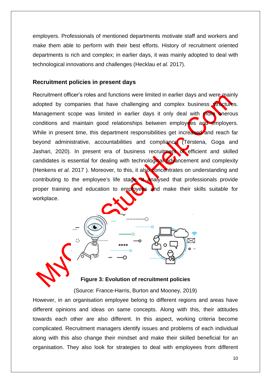employers. Professionals of mentioned departments motivate staff and workers and make them able to perform with their best efforts. History of recruitment oriented departments is rich and complex; in earlier days, it was mainly adopted to deal with technological innovations and challenges (Hecklau *et al.* 2017).

#### <span id="page-9-0"></span>**Recruitment policies in present days**

Recruitment officer's roles and functions were limited in earlier days and were mainly adopted by companies that have challenging and complex business structures. Management scope was limited in earlier days it only deal with more onerous conditions and maintain good relationships between employees and employers. While in present time, this department responsibilities get increased and reach far beyond administrative, accountabilities and compliance (Tërstena, Goga and Jashari, 2020). In present era of business recruitment of efficient and skilled candidates is essential for dealing with technological advancement and complexity (Henkens *et al.* 2017 ). Moreover, to this, it also concentrates on understanding and contributing to the employee's life stage. It analysed that professionals provide proper training and education to employees and make their skills suitable for workplace.



<span id="page-9-1"></span>

**Figure 3: Evolution of recruitment policies**

(Source: France-Harris, Burton and Mooney, 2019)

However, in an organisation employee belong to different regions and areas have different opinions and ideas on same concepts. Along with this, their attitudes towards each other are also different. In this aspect, working criteria become complicated. Recruitment managers identify issues and problems of each individual along with this also change their mindset and make their skilled beneficial for an organisation. They also look for strategies to deal with employees from different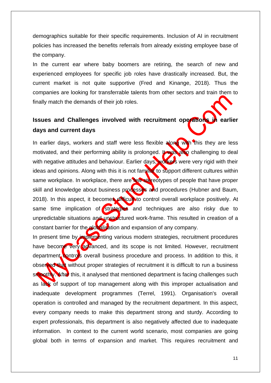demographics suitable for their specific requirements. Inclusion of AI in recruitment policies has increased the benefits referrals from already existing employee base of the company.

In the current ear where baby boomers are retiring, the search of new and experienced employees for specific job roles have drastically increased. But, the current market is not quite supportive (Fred and Kinange, 2018). Thus the companies are looking for transferrable talents from other sectors and train them to finally match the demands of their job roles.

# <span id="page-10-0"></span>**Issues and Challenges involved with recruitment operations in earlier days and current days**

In earlier days, workers and staff were less flexible along with this they are less motivated, and their performing ability is prolonged. It was also challenging to deal with negative attitudes and behaviour. Earlier days, workers were very rigid with their ideas and opinions. Along with this it is not familiar to support different cultures within same workplace. In workplace, there are **few stareotypes of people that have proper** skill and knowledge about business processes and procedures (Hubner and Baum, 2018). In this aspect, it becomes difficult to control overall workplace positively. At same time implication of strategies and techniques are also risky due to unpredictable situations and unstructured work-frame. This resulted in creation of a constant barrier for the globalisation and expansion of any company.

In present time by implementing various modern strategies, recruitment procedures have become very advanced, and its scope is not limited. However, recruitment department controls overall business procedure and process. In addition to this, it observed that without proper strategies of recruitment it is difficult to run a business smoothly. After this, it analysed that mentioned department is facing challenges such as lack of support of top management along with this improper actualisation and inadequate development programmes (Terrel, 1991). Organisation's overall operation is controlled and managed by the recruitment department. In this aspect, every company needs to make this department strong and sturdy. According to expert professionals, this department is also negatively affected due to inadequate information. In context to the current world scenario, most companies are going global both in terms of expansion and market. This requires recruitment and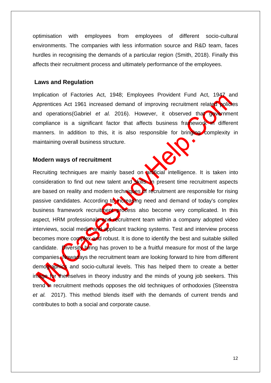optimisation with employees from employees of different socio-cultural environments. The companies with less information source and R&D team, faces hurdles in recognising the demands of a particular region (Smith, 2018). Finally this affects their recruitment process and ultimately performance of the employees.

#### <span id="page-11-0"></span>**Laws and Regulation**

Implication of Factories Act, 1948; Employees Provident Fund Act, 1947 and Apprentices Act 1961 increased demand of improving recruitment related policies and operations(Gabriel *et al.* 2016). However, it observed that government compliance is a significant factor that affects business framework in different manners. In addition to this, it is also responsible for bringing complexity in maintaining overall business structure.

#### <span id="page-11-1"></span>**Modern ways of recruitment**

Recruiting techniques are mainly based on antiticial intelligence. It is taken into consideration to find out new talent and skills. In present time recruitment aspects are based on reality and modern techniques of recruitment are responsible for rising passive candidates. According to increasing need and demand of today's complex business framework recruitment process also become very complicated. In this aspect, HRM professionals and recruitment team within a company adopted video interviews, social media and applicant tracking systems. Test and interview process becomes more complex and robust. It is done to identify the best and suitable skilled candidate. Diversity hiring has proven to be a fruitful measure for most of the large companies. Nowadays the recruitment team are looking forward to hire from different demographics and socio-cultural levels. This has helped them to create a better image for themselves in theory industry and the minds of young job seekers. This trend in recruitment methods opposes the old techniques of orthodoxies (Steenstra *et al.* 2017). This method blends itself with the demands of current trends and contributes to both a social and corporate cause.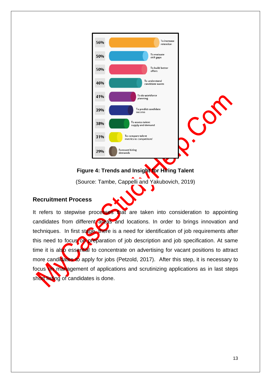

**Figure 4: Trends and Insight for Hiring Talent**

(Source: Tambe, Cappelli and Yakubovich, 2019)

### <span id="page-12-1"></span><span id="page-12-0"></span>**Recruitment Process**

It refers to stepwise processes that are taken into consideration to appointing candidates from different areas and locations. In order to brings innovation and techniques. In first stage, there is a need for identification of job requirements after this need to focus on preparation of job description and job specification. At same time it is also essential to concentrate on advertising for vacant positions to attract more candidates to apply for jobs (Petzold, 2017). After this step, it is necessary to focus on management of applications and scrutinizing applications as in last steps short listing of candidates is done.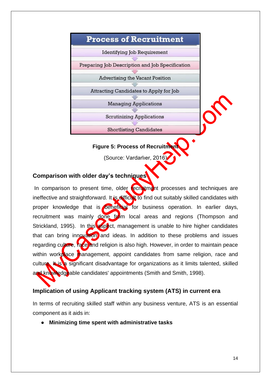

**Figure 5: Process of Recruitment**

(Source: Vardarlıer, 2016)

# <span id="page-13-2"></span><span id="page-13-0"></span>**Comparison with older day's techniques**

In comparison to present time, older recruitment processes and techniques are ineffective and straightforward. It is difficult to find out suitably skilled candidates with proper knowledge that is beneficial for business operation. In earlier days, recruitment was mainly done from local areas and regions (Thompson and Strickland, 1995). In this aspect, management is unable to hire higher candidates that can bring innovation and ideas. In addition to these problems and issues regarding culture, race and religion is also high. However, in order to maintain peace within workplace management, appoint candidates from same religion, race and culture. It is a significant disadvantage for organizations as it limits talented, skilled and knowledgeable candidates' appointments (Smith and Smith, 1998).

## <span id="page-13-1"></span>**Implication of using Applicant tracking system (ATS) in current era**

In terms of recruiting skilled staff within any business venture, ATS is an essential component as it aids in:

● **Minimizing time spent with administrative tasks**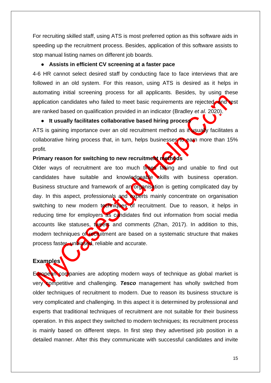For recruiting skilled staff, using ATS is most preferred option as this software aids in speeding up the recruitment process. Besides, application of this software assists to stop manual listing names on different job boards.

#### ● **Assists in efficient CV screening at a faster pace**

4-6 HR cannot select desired staff by conducting face to face interviews that are followed in an old system. For this reason, using ATS is desired as it helps in automating initial screening process for all applicants. Besides, by using these application candidates who failed to meet basic requirements are rejected, and rest are ranked based on qualification provided in an indicator (Bradley *et al.* 2020).

#### ● **It usually facilitates collaborative based hiring process**

ATS is gaining importance over an old recruitment method as it usually facilitates a collaborative hiring process that, in turn, helps businesses to earn more than 15% profit.

#### **Primary reason for switching to new recruitment methods**

Older ways of recruitment are too much times taking and unable to find out candidates have suitable and knowledgeable skills with business operation. Business structure and framework of an organisction is getting complicated day by day. In this aspect, professionals and experts mainly concentrate on organisation switching to new modern techniques of recruitment. Due to reason, it helps in reducing time for employers as candidates find out information from social media accounts like statuses, tweets and comments (Zhan, 2017). In addition to this, modern techniques of recruitment are based on a systematic structure that makes process faster, unbiased, reliable and accurate.

### <span id="page-14-0"></span>**Examples**

European companies are adopting modern ways of technique as global market is very competitive and challenging. *Tesco* management has wholly switched from older techniques of recruitment to modern. Due to reason its business structure is very complicated and challenging. In this aspect it is determined by professional and experts that traditional techniques of recruitment are not suitable for their business operation. In this aspect they switched to modern techniques; its recruitment process is mainly based on different steps. In first step they advertised job position in a detailed manner. After this they communicate with successful candidates and invite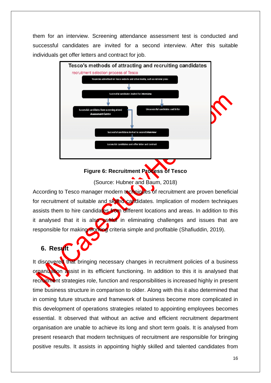them for an interview. Screening attendance assessment test is conducted and successful candidates are invited for a second interview. After this suitable individuals get offer letters and contract for job.



# **Figure 6: Recruitment Process of Tesco**

(Source: Hubner and Baum, 2018)

<span id="page-15-1"></span>According to Tesco manager modern techniques of recruitment are proven beneficial for recruitment of suitable and skilled candidates. Implication of modern techniques assists them to hire candidates from different locations and areas. In addition to this it analysed that it is also useful in eliminating challenges and issues that are responsible for making working criteria simple and profitable (Shafiuddin, 2019).

# <span id="page-15-0"></span>**6. Result**

It discovered that bringing necessary changes in recruitment policies of a business organization assist in its efficient functioning. In addition to this it is analysed that recruitment strategies role, function and responsibilities is increased highly in present time business structure in comparison to older. Along with this it also determined that in coming future structure and framework of business become more complicated in this development of operations strategies related to appointing employees becomes essential. It observed that without an active and efficient recruitment department organisation are unable to achieve its long and short term goals. It is analysed from present research that modern techniques of recruitment are responsible for bringing positive results. It assists in appointing highly skilled and talented candidates from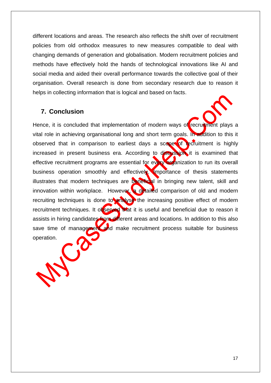different locations and areas. The research also reflects the shift over of recruitment policies from old orthodox measures to new measures compatible to deal with changing demands of generation and globalisation. Modern recruitment policies and methods have effectively hold the hands of technological innovations like AI and social media and aided their overall performance towards the collective goal of their organisation. Overall research is done from secondary research due to reason it helps in collecting information that is logical and based on facts.

# <span id="page-16-0"></span>**7. Conclusion**

Hence, it is concluded that implementation of modern ways of recruitment plays a vital role in achieving organisational long and short term goals. In addition to this it observed that in comparison to earliest days a scope of recruitment is highly increased in present business era. According to discussion it is examined that effective recruitment programs are essential for every organization to run its overall business operation smoothly and effectively. Importance of thesis statements illustrates that modern techniques are beneficial in bringing new talent, skill and innovation within workplace. However, a detailed comparison of old and modern recruiting techniques is done to analyse the increasing positive effect of modern recruitment techniques. It observed that it is useful and beneficial due to reason it assists in hiring candidates from different areas and locations. In addition to this also save time of management and make recruitment process suitable for business operation.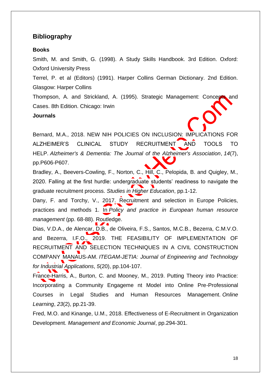## <span id="page-17-0"></span>**Bibliography**

#### **Books**

Smith, M. and Smith, G. (1998). A Study Skills Handbook. 3rd Edition. Oxford: Oxford University Press

Terrel, P. et al (Editors) (1991). Harper Collins German Dictionary. 2nd Edition. Glasgow: Harper Collins

Thompson, A. and Strickland, A. (1995). Strategic Management: Concepts and Cases. 8th Edition. Chicago: Irwin

#### **Journals**

Bernard, M.A., 2018. NEW NIH POLICIES ON INCLUSION: IMPLICATIONS FOR ALZHEIMER'S CLINICAL STUDY RECRUITMENT AND TOOLS TO HELP. *Alzheimer's & Dementia: The Journal of the Alzheimer's Association*, *14*(7), pp.P606-P607.

Bradley, A., Beevers-Cowling, F., Norton, C., Hill, C., Pelopida, B. and Quigley, M., 2020. Falling at the first hurdle: undergraduate students' readiness to navigate the graduate recruitment process. *Studies in Higher Education*, pp.1-12.

Dany, F. and Torchy, V., 2017. Recruitment and selection in Europe Policies, practices and methods 1. In *Policy and practice in European human resource management* (pp. 68-88). Routledge.

Dias, V.D.A., de Alencar, D.B., de Oliveira, F.S., Santos, M.C.B., Bezerra, C.M.V.O. and Bezerra, I.F.O., 2019. THE FEASIBILITY OF IMPLEMENTATION OF RECRUITMENT AND SELECTION TECHNIQUES IN A CIVIL CONSTRUCTION COMPANY MANAUS-AM. *ITEGAM-JETIA: Journal of Engineering and Technology for Industrial Applications*, *5*(20), pp.104-107.

France-Harris, A., Burton, C. and Mooney, M., 2019. Putting Theory into Practice: Incorporating a Community Engageme nt Model into Online Pre-Professional Courses in Legal Studies and Human Resources Management. *Online Learning*, *23*(2), pp.21-39.

Fred, M.O. and Kinange, U.M., 2018. Effectiveness of E-Recruitment in Organization Development. *Management and Economic Journal*, pp.294-301.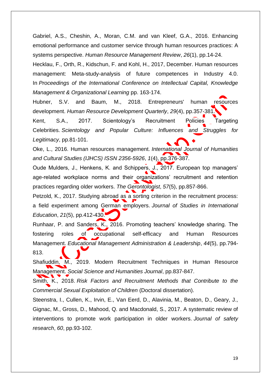Gabriel, A.S., Cheshin, A., Moran, C.M. and van Kleef, G.A., 2016. Enhancing emotional performance and customer service through human resources practices: A systems perspective. *Human Resource Management Review*, *26*(1), pp.14-24.

Hecklau, F., Orth, R., Kidschun, F. and Kohl, H., 2017, December. Human resources management: Meta-study-analysis of future competences in Industry 4.0. In *Proceedings of the International Conference on Intellectual Capital, Knowledge Management & Organizational Learning* pp. 163-174.

Hubner, S.V. and Baum, M., 2018. Entrepreneurs' human resources development. *Human Resource Development Quarterly*, *29*(4), pp.357-381.

Kent, S.A., 2017. Scientology's Recruitment Policies Targeting Celebrities. *Scientology and Popular Culture: Influences and Struggles for Legitimacy*, pp.81-101.

Oke, L., 2016. Human resources management. *International Journal of Humanities and Cultural Studies (IJHCS) ISSN 2356-5926*, *1*(4), pp.376-387.

Oude Mulders, J., Henkens, K. and Schippers, J., 2017. European top managers' age-related workplace norms and their organizations' recruitment and retention practices regarding older workers. *The Gerontologist*, *57*(5), pp.857-866.

Petzold, K., 2017. Studying abroad as a sorting criterion in the recruitment process: a field experiment among German employers. *Journal of Studies in International Education*, *21*(5), pp.412-430.

Runhaar, P. and Sanders, K., 2016. Promoting teachers' knowledge sharing. The fostering roles of occupational self-efficacy and Human Resources Management. *Educational Management Administration & Leadership*, *44*(5), pp.794- 813.

Shafiuddin, M., 2019. Modern Recruitment Techniques in Human Resource Management. *Social Science and Humanities Journal*, pp.837-847.

Smith, K., 2018. *Risk Factors and Recruitment Methods that Contribute to the Commercial Sexual Exploitation of Children* (Doctoral dissertation).

Steenstra, I., Cullen, K., Irvin, E., Van Eerd, D., Alavinia, M., Beaton, D., Geary, J., Gignac, M., Gross, D., Mahood, Q. and Macdonald, S., 2017. A systematic review of interventions to promote work participation in older workers. *Journal of safety research*, *60*, pp.93-102.